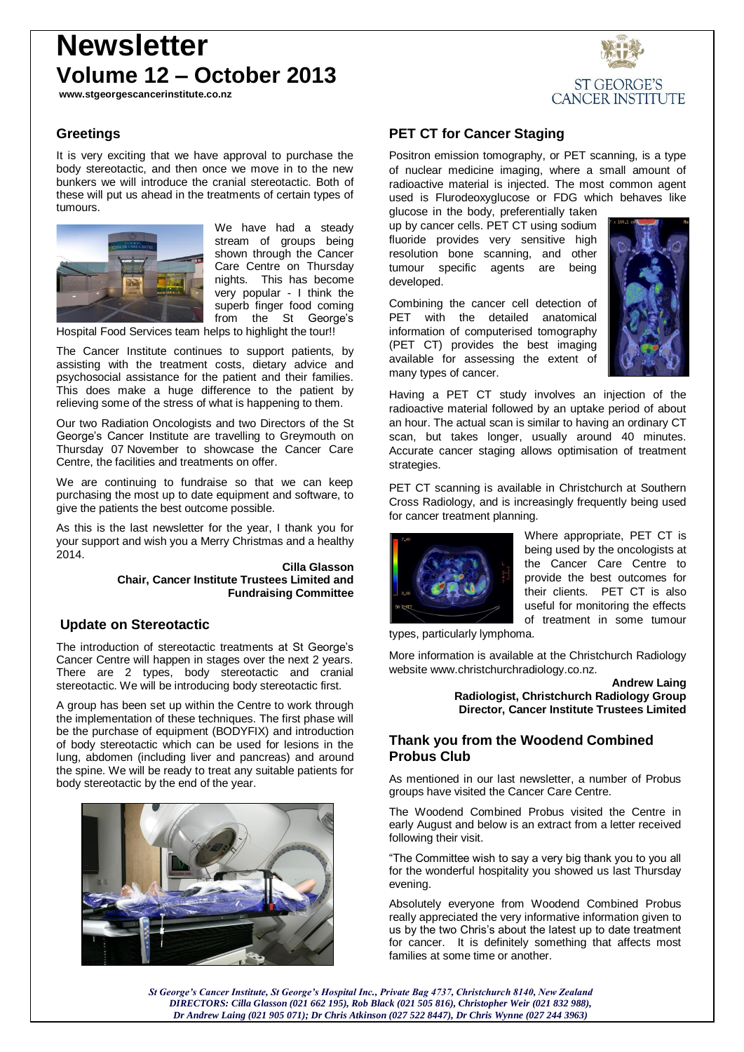# **Newsletter Volume 12 – October 2013**

**www.stgeorgescancerinstitute.co.nz**



# **Greetings**

It is very exciting that we have approval to purchase the body stereotactic, and then once we move in to the new bunkers we will introduce the cranial stereotactic. Both of these will put us ahead in the treatments of certain types of tumours.



We have had a steady stream of groups being shown through the Cancer Care Centre on Thursday nights. This has become very popular - I think the superb finger food coming from the St George's

Hospital Food Services team helps to highlight the tour!!

The Cancer Institute continues to support patients, by assisting with the treatment costs, dietary advice and psychosocial assistance for the patient and their families. This does make a huge difference to the patient by relieving some of the stress of what is happening to them.

Our two Radiation Oncologists and two Directors of the St George's Cancer Institute are travelling to Greymouth on Thursday 07 November to showcase the Cancer Care Centre, the facilities and treatments on offer.

We are continuing to fundraise so that we can keep purchasing the most up to date equipment and software, to give the patients the best outcome possible.

As this is the last newsletter for the year, I thank you for your support and wish you a Merry Christmas and a healthy 2014.

> **Cilla Glasson Chair, Cancer Institute Trustees Limited and Fundraising Committee**

### **Update on Stereotactic**

The introduction of stereotactic treatments at St George's Cancer Centre will happen in stages over the next 2 years. There are 2 types, body stereotactic and cranial stereotactic. We will be introducing body stereotactic first.

A group has been set up within the Centre to work through the implementation of these techniques. The first phase will be the purchase of equipment (BODYFIX) and introduction of body stereotactic which can be used for lesions in the lung, abdomen (including liver and pancreas) and around the spine. We will be ready to treat any suitable patients for body stereotactic by the end of the year.



## **PET CT for Cancer Staging**

Positron emission tomography, or PET scanning, is a type of nuclear medicine imaging, where a small amount of radioactive material is injected. The most common agent used is Flurodeoxyglucose or FDG which behaves like

glucose in the body, preferentially taken up by cancer cells. PET CT using sodium fluoride provides very sensitive high resolution bone scanning, and other tumour specific agents are being developed.

Combining the cancer cell detection of PET with the detailed anatomical information of computerised tomography (PET CT) provides the best imaging available for assessing the extent of many types of cancer.



ST GEORGE'S **CANCER INSTITUTE** 

Having a PET CT study involves an injection of the radioactive material followed by an uptake period of about an hour. The actual scan is similar to having an ordinary CT scan, but takes longer, usually around 40 minutes. Accurate cancer staging allows optimisation of treatment strategies.

PET CT scanning is available in Christchurch at Southern Cross Radiology, and is increasingly frequently being used for cancer treatment planning.



Where appropriate, PET CT is being used by the oncologists at the Cancer Care Centre to provide the best outcomes for their clients. PET CT is also useful for monitoring the effects of treatment in some tumour

types, particularly lymphoma.

More information is available at the Christchurch Radiology website www.christchurchradiology.co.nz.



## **Thank you from the Woodend Combined Probus Club**

As mentioned in our last newsletter, a number of Probus groups have visited the Cancer Care Centre.

The Woodend Combined Probus visited the Centre in early August and below is an extract from a letter received following their visit.

"The Committee wish to say a very big thank you to you all for the wonderful hospitality you showed us last Thursday evening.

Absolutely everyone from Woodend Combined Probus really appreciated the very informative information given to us by the two Chris's about the latest up to date treatment for cancer. It is definitely something that affects most families at some time or another.

*St George's Cancer Institute, St George's Hospital Inc., Private Bag 4737, Christchurch 8140, New Zealand DIRECTORS: Cilla Glasson (021 662 195), Rob Black (021 505 816), Christopher Weir (021 832 988), Dr Andrew Laing (021 905 071); Dr Chris Atkinson (027 522 8447), Dr Chris Wynne (027 244 3963)*